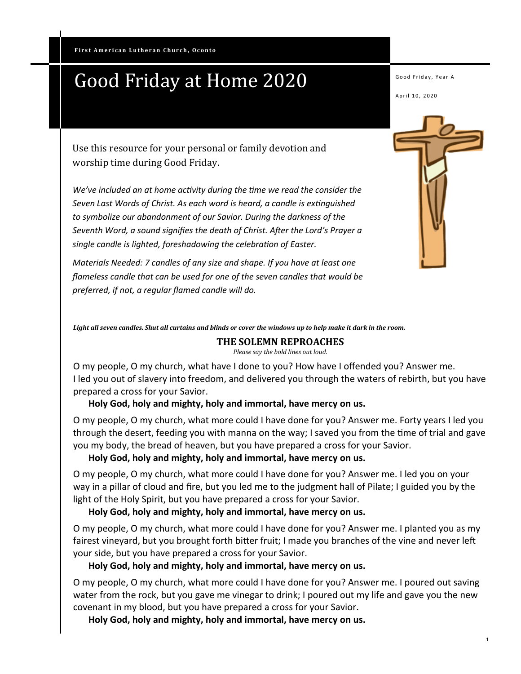# Good Friday at Home 2020

Good Friday, Year A

April 10, 2020

Use this resource for your personal or family devotion and worship time during Good Friday.

*We've included an at home activity during the time we read the consider the Seven Last Words of Christ. As each word is heard, a candle is extinguished to symbolize our abandonment of our Savior. During the darkness of the Seventh Word, a sound signifies the death of Christ. After the Lord's Prayer a single candle is lighted, foreshadowing the celebration of Easter.*

*Materials Needed: 7 candles of any size and shape. If you have at least one flameless candle that can be used for one of the seven candles that would be preferred, if not, a regular flamed candle will do.* 

*Light all seven candles. Shut all curtains and blinds or cover the windows up to help make it dark in the room.*

#### **THE SOLEMN REPROACHES**

*Please say the bold lines out loud.*

O my people, O my church, what have I done to you? How have I offended you? Answer me. I led you out of slavery into freedom, and delivered you through the waters of rebirth, but you have prepared a cross for your Savior.

#### **Holy God, holy and mighty, holy and immortal, have mercy on us.**

O my people, O my church, what more could I have done for you? Answer me. Forty years I led you through the desert, feeding you with manna on the way; I saved you from the time of trial and gave you my body, the bread of heaven, but you have prepared a cross for your Savior.

#### **Holy God, holy and mighty, holy and immortal, have mercy on us.**

O my people, O my church, what more could I have done for you? Answer me. I led you on your way in a pillar of cloud and fire, but you led me to the judgment hall of Pilate; I guided you by the light of the Holy Spirit, but you have prepared a cross for your Savior.

### **Holy God, holy and mighty, holy and immortal, have mercy on us.**

O my people, O my church, what more could I have done for you? Answer me. I planted you as my fairest vineyard, but you brought forth bitter fruit; I made you branches of the vine and never left your side, but you have prepared a cross for your Savior.

### **Holy God, holy and mighty, holy and immortal, have mercy on us.**

O my people, O my church, what more could I have done for you? Answer me. I poured out saving water from the rock, but you gave me vinegar to drink; I poured out my life and gave you the new covenant in my blood, but you have prepared a cross for your Savior.

**Holy God, holy and mighty, holy and immortal, have mercy on us.**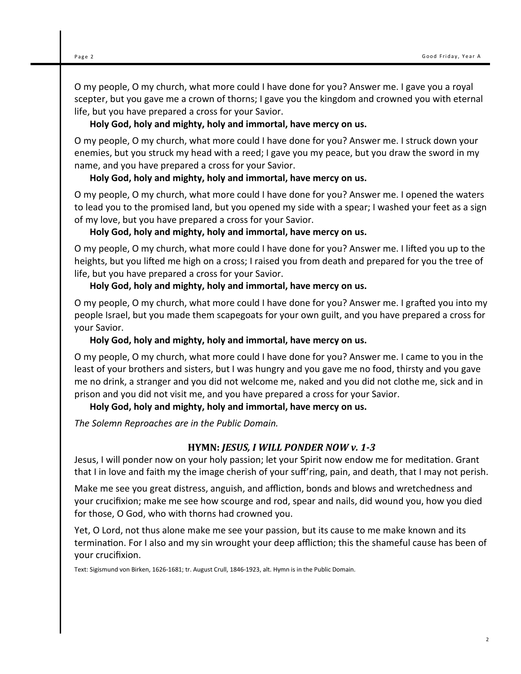O my people, O my church, what more could I have done for you? Answer me. I gave you a royal scepter, but you gave me a crown of thorns; I gave you the kingdom and crowned you with eternal life, but you have prepared a cross for your Savior.

# **Holy God, holy and mighty, holy and immortal, have mercy on us.**

O my people, O my church, what more could I have done for you? Answer me. I struck down your enemies, but you struck my head with a reed; I gave you my peace, but you draw the sword in my name, and you have prepared a cross for your Savior.

# **Holy God, holy and mighty, holy and immortal, have mercy on us.**

O my people, O my church, what more could I have done for you? Answer me. I opened the waters to lead you to the promised land, but you opened my side with a spear; I washed your feet as a sign of my love, but you have prepared a cross for your Savior.

# **Holy God, holy and mighty, holy and immortal, have mercy on us.**

O my people, O my church, what more could I have done for you? Answer me. I lifted you up to the heights, but you lifted me high on a cross; I raised you from death and prepared for you the tree of life, but you have prepared a cross for your Savior.

# **Holy God, holy and mighty, holy and immortal, have mercy on us.**

O my people, O my church, what more could I have done for you? Answer me. I grafted you into my people Israel, but you made them scapegoats for your own guilt, and you have prepared a cross for your Savior.

### **Holy God, holy and mighty, holy and immortal, have mercy on us.**

O my people, O my church, what more could I have done for you? Answer me. I came to you in the least of your brothers and sisters, but I was hungry and you gave me no food, thirsty and you gave me no drink, a stranger and you did not welcome me, naked and you did not clothe me, sick and in prison and you did not visit me, and you have prepared a cross for your Savior.

# **Holy God, holy and mighty, holy and immortal, have mercy on us.**

*The Solemn Reproaches are in the Public Domain.*

# **HYMN:** *JESUS, I WILL PONDER NOW v. 1-3*

Jesus, I will ponder now on your holy passion; let your Spirit now endow me for meditation. Grant that I in love and faith my the image cherish of your suff'ring, pain, and death, that I may not perish.

Make me see you great distress, anguish, and affliction, bonds and blows and wretchedness and your crucifixion; make me see how scourge and rod, spear and nails, did wound you, how you died for those, O God, who with thorns had crowned you.

Yet, O Lord, not thus alone make me see your passion, but its cause to me make known and its termination. For I also and my sin wrought your deep affliction; this the shameful cause has been of your crucifixion.

Text: Sigismund von Birken, 1626-1681; tr. August Crull, 1846-1923, alt. Hymn is in the Public Domain.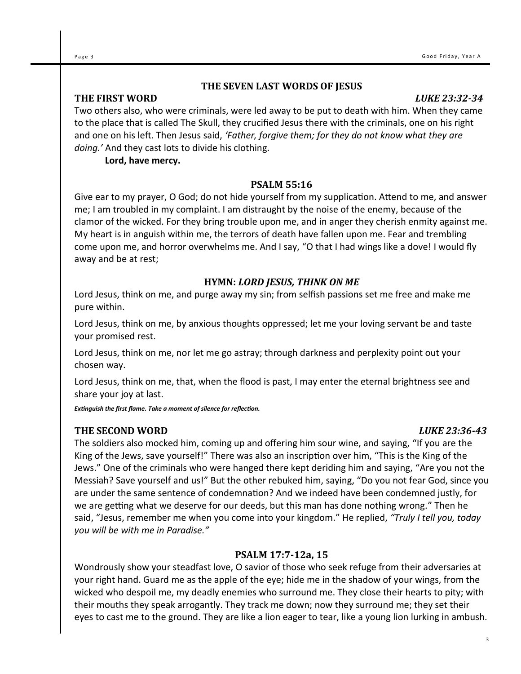3

### **THE SEVEN LAST WORDS OF JESUS**

# **THE FIRST WORD** *LUKE 23:32-34*

Two others also, who were criminals, were led away to be put to death with him. When they came to the place that is called The Skull, they crucified Jesus there with the criminals, one on his right and one on his left. Then Jesus said, *'Father, forgive them; for they do not know what they are doing.'* And they cast lots to divide his clothing.

**Lord, have mercy.**

#### **PSALM 55:16**

Give ear to my prayer, O God; do not hide yourself from my supplication. Attend to me, and answer me; I am troubled in my complaint. I am distraught by the noise of the enemy, because of the clamor of the wicked. For they bring trouble upon me, and in anger they cherish enmity against me. My heart is in anguish within me, the terrors of death have fallen upon me. Fear and trembling come upon me, and horror overwhelms me. And I say, "O that I had wings like a dove! I would fly away and be at rest;

### **HYMN:** *LORD JESUS, THINK ON ME*

Lord Jesus, think on me, and purge away my sin; from selfish passions set me free and make me pure within.

Lord Jesus, think on me, by anxious thoughts oppressed; let me your loving servant be and taste your promised rest.

Lord Jesus, think on me, nor let me go astray; through darkness and perplexity point out your chosen way.

Lord Jesus, think on me, that, when the flood is past, I may enter the eternal brightness see and share your joy at last.

*Extinguish the first flame. Take a moment of silence for reflection.*

### **THE SECOND WORD** *LUKE 23:36-43*

The soldiers also mocked him, coming up and offering him sour wine, and saying, "If you are the King of the Jews, save yourself!" There was also an inscription over him, "This is the King of the Jews." One of the criminals who were hanged there kept deriding him and saying, "Are you not the Messiah? Save yourself and us!" But the other rebuked him, saying, "Do you not fear God, since you are under the same sentence of condemnation? And we indeed have been condemned justly, for we are getting what we deserve for our deeds, but this man has done nothing wrong." Then he said, "Jesus, remember me when you come into your kingdom." He replied, *"Truly I tell you, today you will be with me in Paradise."* 

### **PSALM 17:7-12a, 15**

Wondrously show your steadfast love, O savior of those who seek refuge from their adversaries at your right hand. Guard me as the apple of the eye; hide me in the shadow of your wings, from the wicked who despoil me, my deadly enemies who surround me. They close their hearts to pity; with their mouths they speak arrogantly. They track me down; now they surround me; they set their eyes to cast me to the ground. They are like a lion eager to tear, like a young lion lurking in ambush.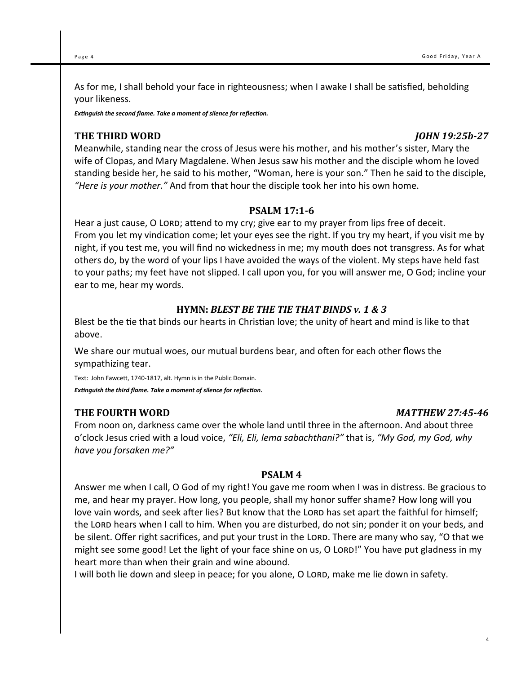As for me, I shall behold your face in righteousness; when I awake I shall be satisfied, beholding your likeness.

*Extinguish the second flame. Take a moment of silence for reflection.*

### **THE THIRD WORD** *JOHN 19:25b-27*

Meanwhile, standing near the cross of Jesus were his mother, and his mother's sister, Mary the wife of Clopas, and Mary Magdalene. When Jesus saw his mother and the disciple whom he loved standing beside her, he said to his mother, "Woman, here is your son." Then he said to the disciple, *"Here is your mother."* And from that hour the disciple took her into his own home.

#### **PSALM 17:1-6**

Hear a just cause, O LORD; attend to my cry; give ear to my prayer from lips free of deceit. From you let my vindication come; let your eyes see the right. If you try my heart, if you visit me by night, if you test me, you will find no wickedness in me; my mouth does not transgress. As for what others do, by the word of your lips I have avoided the ways of the violent. My steps have held fast to your paths; my feet have not slipped. I call upon you, for you will answer me, O God; incline your ear to me, hear my words.

### **HYMN:** *BLEST BE THE TIE THAT BINDS v. 1 & 3*

Blest be the tie that binds our hearts in Christian love; the unity of heart and mind is like to that above.

We share our mutual woes, our mutual burdens bear, and often for each other flows the sympathizing tear.

Text: John Fawcett, 1740-1817, alt. Hymn is in the Public Domain. *Extinguish the third flame. Take a moment of silence for reflection.*

### **THE FOURTH WORD** *MATTHEW 27:45-46*

From noon on, darkness came over the whole land until three in the afternoon. And about three o'clock Jesus cried with a loud voice, *"Eli, Eli, lema sabachthani?"* that is, *"My God, my God, why have you forsaken me?"* 

#### **PSALM 4**

Answer me when I call, O God of my right! You gave me room when I was in distress. Be gracious to me, and hear my prayer. How long, you people, shall my honor suffer shame? How long will you love vain words, and seek after lies? But know that the LORD has set apart the faithful for himself; the Lord hears when I call to him. When you are disturbed, do not sin; ponder it on your beds, and be silent. Offer right sacrifices, and put your trust in the LORD. There are many who say, "O that we might see some good! Let the light of your face shine on us, O LORD!" You have put gladness in my heart more than when their grain and wine abound.

I will both lie down and sleep in peace; for you alone, O LORD, make me lie down in safety.

4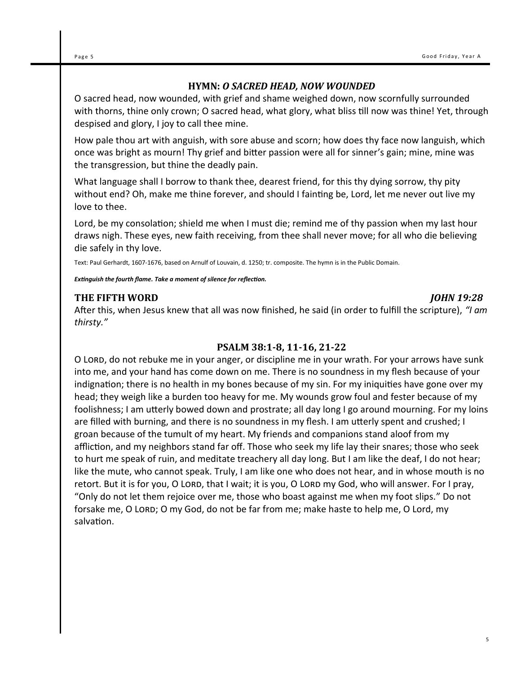## **HYMN:** *O SACRED HEAD, NOW WOUNDED*

O sacred head, now wounded, with grief and shame weighed down, now scornfully surrounded with thorns, thine only crown; O sacred head, what glory, what bliss till now was thine! Yet, through despised and glory, I joy to call thee mine.

How pale thou art with anguish, with sore abuse and scorn; how does thy face now languish, which once was bright as mourn! Thy grief and bitter passion were all for sinner's gain; mine, mine was the transgression, but thine the deadly pain.

What language shall I borrow to thank thee, dearest friend, for this thy dying sorrow, thy pity without end? Oh, make me thine forever, and should I fainting be, Lord, let me never out live my love to thee.

Lord, be my consolation; shield me when I must die; remind me of thy passion when my last hour draws nigh. These eyes, new faith receiving, from thee shall never move; for all who die believing die safely in thy love.

Text: Paul Gerhardt, 1607-1676, based on Arnulf of Louvain, d. 1250; tr. composite. The hymn is in the Public Domain.

*Extinguish the fourth flame. Take a moment of silence for reflection.*

### Inside Story Headline **THE FIFTH WORD** *JOHN 19:28*

After this, when Jesus knew that all was now finished, he said (in order to fulfill the scripture), *"I am thirsty."* 

### **PSALM 38:1-8, 11-16, 21-22**

O LORD, do not rebuke me in your anger, or discipline me in your wrath. For your arrows have sunk into me, and your hand has come down on me. There is no soundness in my flesh because of your indignation; there is no health in my bones because of my sin. For my iniquities have gone over my head; they weigh like a burden too heavy for me. My wounds grow foul and fester because of my foolishness; I am utterly bowed down and prostrate; all day long I go around mourning. For my loins are filled with burning, and there is no soundness in my flesh. I am utterly spent and crushed; I groan because of the tumult of my heart. My friends and companions stand aloof from my affliction, and my neighbors stand far off. Those who seek my life lay their snares; those who seek to hurt me speak of ruin, and meditate treachery all day long. But I am like the deaf, I do not hear; like the mute, who cannot speak. Truly, I am like one who does not hear, and in whose mouth is no retort. But it is for you, O LORD, that I wait; it is you, O LORD my God, who will answer. For I pray, "Only do not let them rejoice over me, those who boast against me when my foot slips." Do not forsake me, O Lord; O my God, do not be far from me; make haste to help me, O Lord, my salvation.